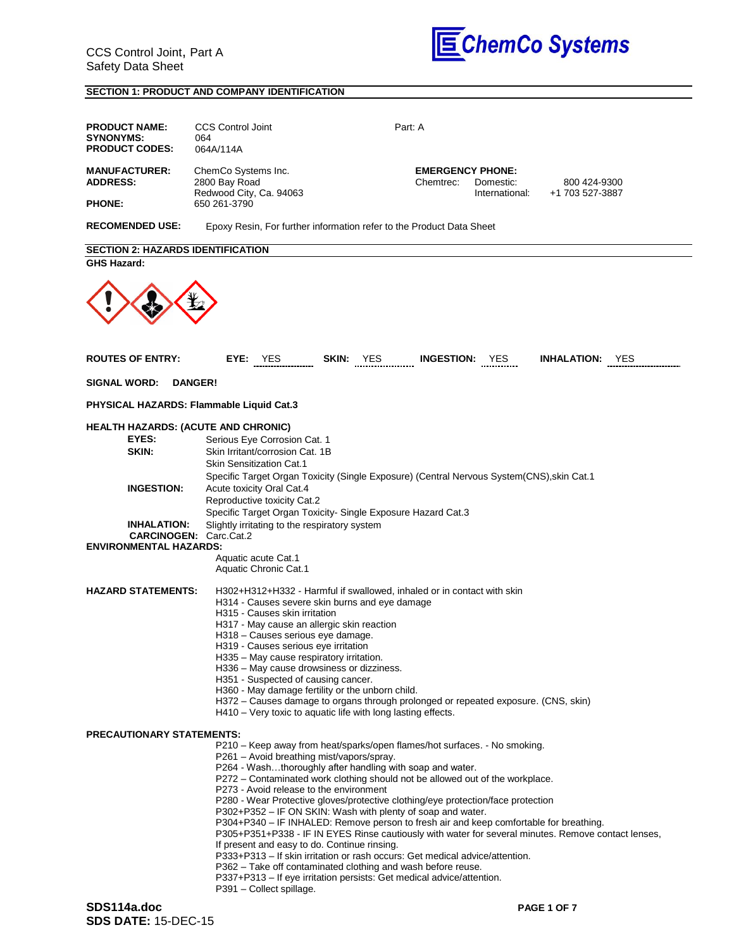

# **SECTION 1: PRODUCT AND COMPANY IDENTIFICATION**

| <b>PRODUCT NAME:</b><br><b>SYNONYMS:</b><br><b>PRODUCT CODES:</b> | <b>CCS Control Joint</b><br>064<br>064A/114A                                                                                                                                                                                                                                             | Part: A                                                                                                                                                                                                                                                                                                                                                                                                                                                                                                                                                                                                                                                                                                                                                                                              |                                                        |                                 |
|-------------------------------------------------------------------|------------------------------------------------------------------------------------------------------------------------------------------------------------------------------------------------------------------------------------------------------------------------------------------|------------------------------------------------------------------------------------------------------------------------------------------------------------------------------------------------------------------------------------------------------------------------------------------------------------------------------------------------------------------------------------------------------------------------------------------------------------------------------------------------------------------------------------------------------------------------------------------------------------------------------------------------------------------------------------------------------------------------------------------------------------------------------------------------------|--------------------------------------------------------|---------------------------------|
| <b>MANUFACTURER:</b><br><b>ADDRESS:</b>                           | ChemCo Systems Inc.<br>2800 Bay Road<br>Redwood City, Ca. 94063                                                                                                                                                                                                                          | Chemtrec:                                                                                                                                                                                                                                                                                                                                                                                                                                                                                                                                                                                                                                                                                                                                                                                            | <b>EMERGENCY PHONE:</b><br>Domestic:<br>International: | 800 424-9300<br>+1 703 527-3887 |
| <b>PHONE:</b>                                                     | 650 261-3790                                                                                                                                                                                                                                                                             |                                                                                                                                                                                                                                                                                                                                                                                                                                                                                                                                                                                                                                                                                                                                                                                                      |                                                        |                                 |
| <b>RECOMENDED USE:</b>                                            |                                                                                                                                                                                                                                                                                          | Epoxy Resin, For further information refer to the Product Data Sheet                                                                                                                                                                                                                                                                                                                                                                                                                                                                                                                                                                                                                                                                                                                                 |                                                        |                                 |
| <b>SECTION 2: HAZARDS IDENTIFICATION</b><br><b>GHS Hazard:</b>    |                                                                                                                                                                                                                                                                                          |                                                                                                                                                                                                                                                                                                                                                                                                                                                                                                                                                                                                                                                                                                                                                                                                      |                                                        |                                 |
|                                                                   |                                                                                                                                                                                                                                                                                          |                                                                                                                                                                                                                                                                                                                                                                                                                                                                                                                                                                                                                                                                                                                                                                                                      |                                                        |                                 |
| <b>ROUTES OF ENTRY:</b>                                           | EYE:<br><b>YES</b>                                                                                                                                                                                                                                                                       | SKIN: YES                                                                                                                                                                                                                                                                                                                                                                                                                                                                                                                                                                                                                                                                                                                                                                                            | <b>INGESTION:</b> YES                                  | <b>INHALATION:</b> YES          |
| <b>SIGNAL WORD:</b>                                               | <b>DANGER!</b>                                                                                                                                                                                                                                                                           |                                                                                                                                                                                                                                                                                                                                                                                                                                                                                                                                                                                                                                                                                                                                                                                                      |                                                        |                                 |
| PHYSICAL HAZARDS: Flammable Liquid Cat.3                          |                                                                                                                                                                                                                                                                                          |                                                                                                                                                                                                                                                                                                                                                                                                                                                                                                                                                                                                                                                                                                                                                                                                      |                                                        |                                 |
| <b>HEALTH HAZARDS: (ACUTE AND CHRONIC)</b><br>EYES:<br>SKIN:      | Serious Eye Corrosion Cat. 1<br>Skin Irritant/corrosion Cat. 1B<br><b>Skin Sensitization Cat.1</b>                                                                                                                                                                                       |                                                                                                                                                                                                                                                                                                                                                                                                                                                                                                                                                                                                                                                                                                                                                                                                      |                                                        |                                 |
| <b>INGESTION:</b>                                                 | Specific Target Organ Toxicity (Single Exposure) (Central Nervous System(CNS), skin Cat.1<br>Acute toxicity Oral Cat.4<br>Reproductive toxicity Cat.2<br>Specific Target Organ Toxicity- Single Exposure Hazard Cat.3                                                                    |                                                                                                                                                                                                                                                                                                                                                                                                                                                                                                                                                                                                                                                                                                                                                                                                      |                                                        |                                 |
| <b>INHALATION:</b><br><b>ENVIRONMENTAL HAZARDS:</b>               | Slightly irritating to the respiratory system<br><b>CARCINOGEN: Carc.Cat.2</b>                                                                                                                                                                                                           |                                                                                                                                                                                                                                                                                                                                                                                                                                                                                                                                                                                                                                                                                                                                                                                                      |                                                        |                                 |
|                                                                   | Aquatic acute Cat.1<br>Aquatic Chronic Cat.1                                                                                                                                                                                                                                             |                                                                                                                                                                                                                                                                                                                                                                                                                                                                                                                                                                                                                                                                                                                                                                                                      |                                                        |                                 |
| <b>HAZARD STATEMENTS:</b>                                         | H315 - Causes skin irritation<br>H317 - May cause an allergic skin reaction<br>H318 - Causes serious eye damage.<br>H319 - Causes serious eye irritation<br>H335 – May cause respiratory irritation.<br>H336 – May cause drowsiness or dizziness.<br>H351 - Suspected of causing cancer. | H302+H312+H332 - Harmful if swallowed, inhaled or in contact with skin<br>H314 - Causes severe skin burns and eye damage<br>H360 - May damage fertility or the unborn child.<br>H372 – Causes damage to organs through prolonged or repeated exposure. (CNS, skin)<br>H410 – Very toxic to aquatic life with long lasting effects.                                                                                                                                                                                                                                                                                                                                                                                                                                                                   |                                                        |                                 |
| <b>PRECAUTIONARY STATEMENTS:</b>                                  |                                                                                                                                                                                                                                                                                          |                                                                                                                                                                                                                                                                                                                                                                                                                                                                                                                                                                                                                                                                                                                                                                                                      |                                                        |                                 |
|                                                                   | P261 – Avoid breathing mist/vapors/spray.<br>P273 - Avoid release to the environment<br>If present and easy to do. Continue rinsing.<br>P391 – Collect spillage.                                                                                                                         | P210 – Keep away from heat/sparks/open flames/hot surfaces. - No smoking.<br>P264 - Washthoroughly after handling with soap and water.<br>P272 – Contaminated work clothing should not be allowed out of the workplace.<br>P280 - Wear Protective gloves/protective clothing/eye protection/face protection<br>P302+P352 – IF ON SKIN: Wash with plenty of soap and water.<br>P304+P340 – IF INHALED: Remove person to fresh air and keep comfortable for breathing.<br>P305+P351+P338 - IF IN EYES Rinse cautiously with water for several minutes. Remove contact lenses,<br>P333+P313 - If skin irritation or rash occurs: Get medical advice/attention.<br>P362 - Take off contaminated clothing and wash before reuse.<br>P337+P313 - If eye irritation persists: Get medical advice/attention. |                                                        |                                 |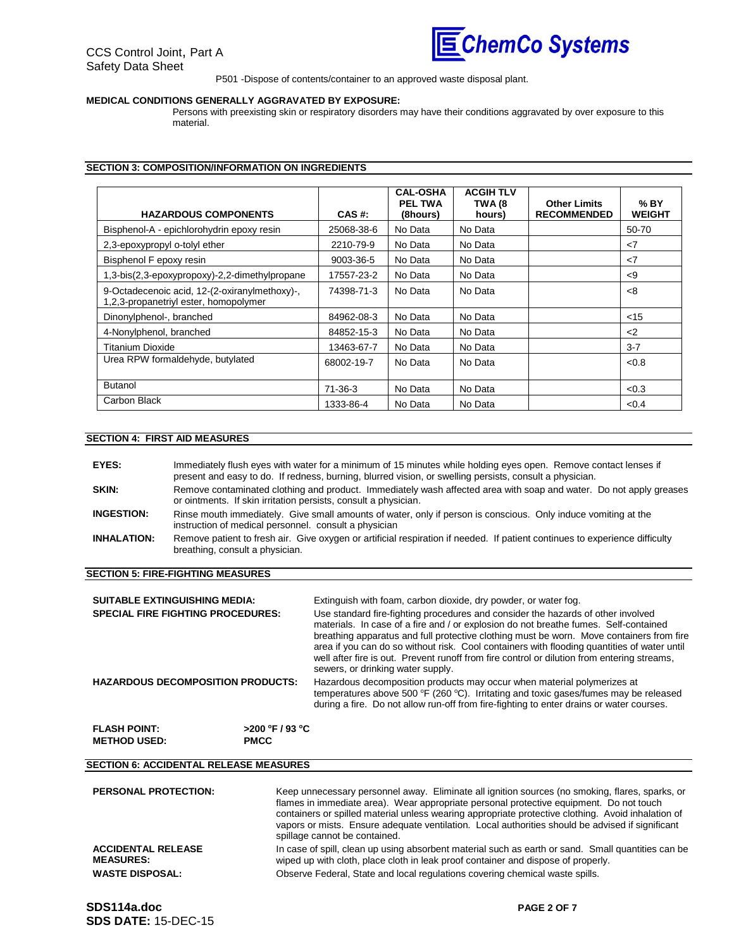

P501 -Dispose of contents/container to an approved waste disposal plant.

#### **MEDICAL CONDITIONS GENERALLY AGGRAVATED BY EXPOSURE:**

Persons with preexisting skin or respiratory disorders may have their conditions aggravated by over exposure to this material.

#### **SECTION 3: COMPOSITION/INFORMATION ON INGREDIENTS**

| <b>HAZARDOUS COMPONENTS</b>                                                            | CAS #:        | <b>CAL-OSHA</b><br><b>PEL TWA</b><br>(8hours) | <b>ACGIH TLV</b><br>TWA (8<br>hours) | <b>Other Limits</b><br><b>RECOMMENDED</b> | $%$ BY<br><b>WEIGHT</b> |
|----------------------------------------------------------------------------------------|---------------|-----------------------------------------------|--------------------------------------|-------------------------------------------|-------------------------|
| Bisphenol-A - epichlorohydrin epoxy resin                                              | 25068-38-6    | No Data                                       | No Data                              |                                           | 50-70                   |
| 2,3-epoxypropyl o-tolyl ether                                                          | 2210-79-9     | No Data                                       | No Data                              |                                           | $\mathsf{<}7$           |
| Bisphenol F epoxy resin                                                                | 9003-36-5     | No Data                                       | No Data                              |                                           | $\langle$ 7             |
| 1,3-bis(2,3-epoxypropoxy)-2,2-dimethylpropane                                          | 17557-23-2    | No Data                                       | No Data                              |                                           | $\leq$ 9                |
| 9-Octadecenoic acid, 12-(2-oxiranylmethoxy)-,<br>1,2,3-propanetriyl ester, homopolymer | 74398-71-3    | No Data                                       | No Data                              |                                           | <8                      |
| Dinonylphenol-, branched                                                               | 84962-08-3    | No Data                                       | No Data                              |                                           | $<$ 15                  |
| 4-Nonylphenol, branched                                                                | 84852-15-3    | No Data                                       | No Data                              |                                           | $<$ 2                   |
| <b>Titanium Dioxide</b>                                                                | 13463-67-7    | No Data                                       | No Data                              |                                           | $3 - 7$                 |
| Urea RPW formaldehyde, butylated                                                       | 68002-19-7    | No Data                                       | No Data                              |                                           | < 0.8                   |
| <b>Butanol</b>                                                                         | $71 - 36 - 3$ | No Data                                       | No Data                              |                                           | < 0.3                   |
| Carbon Black                                                                           | 1333-86-4     | No Data                                       | No Data                              |                                           | < 0.4                   |

#### **SECTION 4: FIRST AID MEASURES**

| EYES:              | Immediately flush eyes with water for a minimum of 15 minutes while holding eyes open. Remove contact lenses if<br>present and easy to do. If redness, burning, blurred vision, or swelling persists, consult a physician. |
|--------------------|----------------------------------------------------------------------------------------------------------------------------------------------------------------------------------------------------------------------------|
| SKIN:              | Remove contaminated clothing and product. Immediately wash affected area with soap and water. Do not apply greases<br>or ointments. If skin irritation persists, consult a physician.                                      |
| <b>INGESTION:</b>  | Rinse mouth immediately. Give small amounts of water, only if person is conscious. Only induce vomiting at the<br>instruction of medical personnel. consult a physician                                                    |
| <b>INHALATION:</b> | Remove patient to fresh air. Give oxygen or artificial respiration if needed. If patient continues to experience difficulty<br>breathing, consult a physician.                                                             |

#### **SECTION 5: FIRE-FIGHTING MEASURES**

| <b>SUITABLE EXTINGUISHING MEDIA:</b><br><b>SPECIAL FIRE FIGHTING PROCEDURES:</b> |                                   | Extinguish with foam, carbon dioxide, dry powder, or water fog.<br>Use standard fire-fighting procedures and consider the hazards of other involved<br>materials. In case of a fire and / or explosion do not breathe fumes. Self-contained<br>breathing apparatus and full protective clothing must be worn. Move containers from fire<br>area if you can do so without risk. Cool containers with flooding quantities of water until<br>well after fire is out. Prevent runoff from fire control or dilution from entering streams,<br>sewers, or drinking water supply. |  |  |
|----------------------------------------------------------------------------------|-----------------------------------|----------------------------------------------------------------------------------------------------------------------------------------------------------------------------------------------------------------------------------------------------------------------------------------------------------------------------------------------------------------------------------------------------------------------------------------------------------------------------------------------------------------------------------------------------------------------------|--|--|
| <b>HAZARDOUS DECOMPOSITION PRODUCTS:</b>                                         |                                   | Hazardous decomposition products may occur when material polymerizes at<br>temperatures above 500 °F (260 °C). Irritating and toxic gases/fumes may be released<br>during a fire. Do not allow run-off from fire-fighting to enter drains or water courses.                                                                                                                                                                                                                                                                                                                |  |  |
| <b>FLASH POINT:</b><br><b>METHOD USED:</b>                                       | $>$ 200 °F / 93 °C<br><b>PMCC</b> |                                                                                                                                                                                                                                                                                                                                                                                                                                                                                                                                                                            |  |  |

# **SECTION 6: ACCIDENTAL RELEASE MEASURES**

| <b>PERSONAL PROTECTION:</b>                   | Keep unnecessary personnel away. Eliminate all ignition sources (no smoking, flares, sparks, or<br>flames in immediate area). Wear appropriate personal protective equipment. Do not touch<br>containers or spilled material unless wearing appropriate protective clothing. Avoid inhalation of<br>vapors or mists. Ensure adequate ventilation. Local authorities should be advised if significant<br>spillage cannot be contained. |
|-----------------------------------------------|---------------------------------------------------------------------------------------------------------------------------------------------------------------------------------------------------------------------------------------------------------------------------------------------------------------------------------------------------------------------------------------------------------------------------------------|
| <b>ACCIDENTAL RELEASE</b><br><b>MEASURES:</b> | In case of spill, clean up using absorbent material such as earth or sand. Small quantities can be<br>wiped up with cloth, place cloth in leak proof container and dispose of properly.                                                                                                                                                                                                                                               |
| <b>WASTE DISPOSAL:</b>                        | Observe Federal, State and local regulations covering chemical waste spills.                                                                                                                                                                                                                                                                                                                                                          |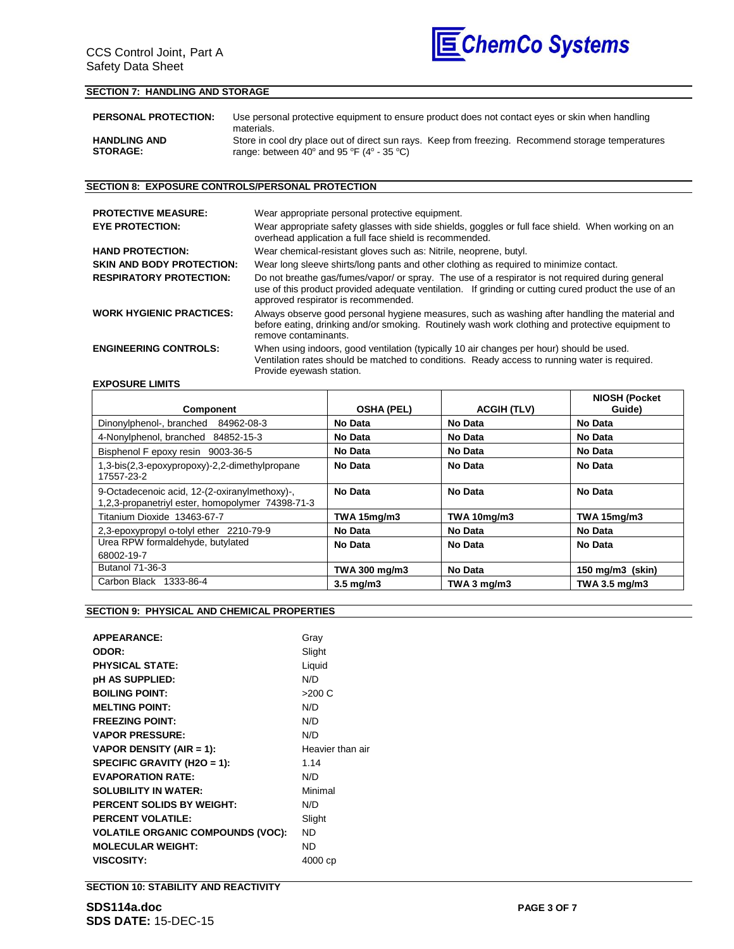

## **SECTION 7: HANDLING AND STORAGE**

| <b>PERSONAL PROTECTION:</b> | Use personal protective equipment to ensure product does not contact eyes or skin when handling<br>materials. |  |  |
|-----------------------------|---------------------------------------------------------------------------------------------------------------|--|--|
| <b>HANDLING AND</b>         | Store in cool dry place out of direct sun rays. Keep from freezing. Recommend storage temperatures            |  |  |
| <b>STORAGE:</b>             | range: between 40 $^{\circ}$ and 95 $^{\circ}$ F (4 $^{\circ}$ - 35 $^{\circ}$ C)                             |  |  |

## **SECTION 8: EXPOSURE CONTROLS/PERSONAL PROTECTION**

| <b>PROTECTIVE MEASURE:</b>       | Wear appropriate personal protective equipment.                                                                                                                                                                                                  |  |  |  |
|----------------------------------|--------------------------------------------------------------------------------------------------------------------------------------------------------------------------------------------------------------------------------------------------|--|--|--|
| <b>EYE PROTECTION:</b>           | Wear appropriate safety glasses with side shields, goggles or full face shield. When working on an<br>overhead application a full face shield is recommended.                                                                                    |  |  |  |
| <b>HAND PROTECTION:</b>          | Wear chemical-resistant gloves such as: Nitrile, neoprene, butyl.                                                                                                                                                                                |  |  |  |
| <b>SKIN AND BODY PROTECTION:</b> | Wear long sleeve shirts/long pants and other clothing as required to minimize contact.                                                                                                                                                           |  |  |  |
| <b>RESPIRATORY PROTECTION:</b>   | Do not breathe gas/fumes/vapor/ or spray. The use of a respirator is not required during general<br>use of this product provided adequate ventilation. If grinding or cutting cured product the use of an<br>approved respirator is recommended. |  |  |  |
| <b>WORK HYGIENIC PRACTICES:</b>  | Always observe good personal hygiene measures, such as washing after handling the material and<br>before eating, drinking and/or smoking. Routinely wash work clothing and protective equipment to<br>remove contaminants.                       |  |  |  |
| <b>ENGINEERING CONTROLS:</b>     | When using indoors, good ventilation (typically 10 air changes per hour) should be used.<br>Ventilation rates should be matched to conditions. Ready access to running water is required.<br>Provide eyewash station.                            |  |  |  |

# **EXPOSURE LIMITS**

| Component                                                                                         | <b>OSHA (PEL)</b>  | <b>ACGIH (TLV)</b> | <b>NIOSH (Pocket</b><br>Guide) |
|---------------------------------------------------------------------------------------------------|--------------------|--------------------|--------------------------------|
| Dinonylphenol-, branched 84962-08-3                                                               | No Data            | No Data            | No Data                        |
| 4-Nonylphenol, branched 84852-15-3                                                                | No Data            | No Data            | No Data                        |
| Bisphenol F epoxy resin 9003-36-5                                                                 | No Data            | No Data            | No Data                        |
| 1,3-bis(2,3-epoxypropoxy)-2,2-dimethylpropane<br>17557-23-2                                       | No Data            | No Data            | No Data                        |
| 9-Octadecenoic acid, 12-(2-oxiranylmethoxy)-,<br>1,2,3-propanetriyl ester, homopolymer 74398-71-3 | No Data            | No Data            | No Data                        |
| Titanium Dioxide 13463-67-7                                                                       | <b>TWA 15mg/m3</b> | <b>TWA 10mg/m3</b> | <b>TWA 15mg/m3</b>             |
| 2,3-epoxypropyl o-tolyl ether 2210-79-9                                                           | No Data            | No Data            | No Data                        |
| Urea RPW formaldehyde, butylated                                                                  | No Data            | No Data            | No Data                        |
| 68002-19-7                                                                                        |                    |                    |                                |
| Butanol 71-36-3                                                                                   | TWA 300 mg/m3      | No Data            | 150 mg/m3 (skin)               |
| Carbon Black 1333-86-4                                                                            | $3.5 \text{ mg/m}$ | TWA 3 $mg/m3$      | TWA 3.5 mg/m3                  |

#### **SECTION 9: PHYSICAL AND CHEMICAL PROPERTIES**

| Gray             |
|------------------|
| Slight           |
| Liquid           |
| N/D              |
| >200 C           |
| N/D              |
| N/D              |
| N/D              |
| Heavier than air |
| 1.14             |
| N/D              |
| Minimal          |
| N/D              |
| Slight           |
| <b>ND</b>        |
| ND               |
| 4000 cp          |
|                  |

**SECTION 10: STABILITY AND REACTIVITY**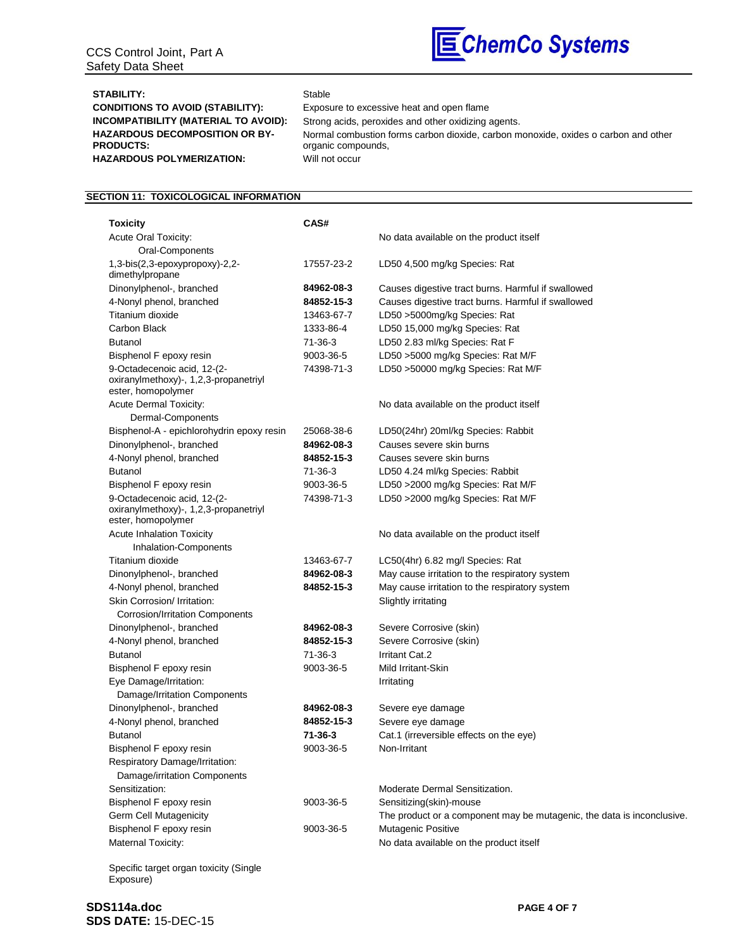

# STABILITY: Stable

**HAZARDOUS DECOMPOSITION OR BY-PRODUCTS:** HAZARDOUS POLYMERIZATION: Will not occur

**CONDITIONS TO AVOID (STABILITY):** Exposure to excessive heat and open flame **INCOMPATIBILITY (MATERIAL TO AVOID):** Strong acids, peroxides and other oxidizing agents. Normal combustion forms carbon dioxide, carbon monoxide, oxides o carbon and other organic compounds,

## **SECTION 11: TOXICOLOGICAL INFORMATION**

| <b>Toxicity</b>                                                                            | CAS#          |                                                                        |
|--------------------------------------------------------------------------------------------|---------------|------------------------------------------------------------------------|
| <b>Acute Oral Toxicity:</b>                                                                |               | No data available on the product itself                                |
| Oral-Components                                                                            |               |                                                                        |
| $1,3-bis(2,3-epoxypropoxy)-2,2-$<br>dimethylpropane                                        | 17557-23-2    | LD50 4,500 mg/kg Species: Rat                                          |
| Dinonylphenol-, branched                                                                   | 84962-08-3    | Causes digestive tract burns. Harmful if swallowed                     |
| 4-Nonyl phenol, branched                                                                   | 84852-15-3    | Causes digestive tract burns. Harmful if swallowed                     |
| Titanium dioxide                                                                           | 13463-67-7    | LD50 >5000mg/kg Species: Rat                                           |
| Carbon Black                                                                               | 1333-86-4     | LD50 15,000 mg/kg Species: Rat                                         |
| <b>Butanol</b>                                                                             | 71-36-3       | LD50 2.83 ml/kg Species: Rat F                                         |
| Bisphenol F epoxy resin                                                                    | 9003-36-5     | LD50 >5000 mg/kg Species: Rat M/F                                      |
| 9-Octadecenoic acid, 12-(2-<br>oxiranylmethoxy)-, 1,2,3-propanetriyl<br>ester, homopolymer | 74398-71-3    | LD50 >50000 mg/kg Species: Rat M/F                                     |
| <b>Acute Dermal Toxicity:</b>                                                              |               | No data available on the product itself                                |
| Dermal-Components                                                                          |               |                                                                        |
| Bisphenol-A - epichlorohydrin epoxy resin                                                  | 25068-38-6    | LD50(24hr) 20ml/kg Species: Rabbit                                     |
| Dinonylphenol-, branched                                                                   | 84962-08-3    | Causes severe skin burns                                               |
| 4-Nonyl phenol, branched                                                                   | 84852-15-3    | Causes severe skin burns                                               |
| <b>Butanol</b>                                                                             | $71 - 36 - 3$ | LD50 4.24 ml/kg Species: Rabbit                                        |
| Bisphenol F epoxy resin                                                                    | 9003-36-5     | LD50 >2000 mg/kg Species: Rat M/F                                      |
| 9-Octadecenoic acid, 12-(2-<br>oxiranylmethoxy)-, 1,2,3-propanetriyl<br>ester, homopolymer | 74398-71-3    | LD50 >2000 mg/kg Species: Rat M/F                                      |
| <b>Acute Inhalation Toxicity</b>                                                           |               | No data available on the product itself                                |
| Inhalation-Components                                                                      |               |                                                                        |
| Titanium dioxide                                                                           | 13463-67-7    | LC50(4hr) 6.82 mg/l Species: Rat                                       |
| Dinonylphenol-, branched                                                                   | 84962-08-3    | May cause irritation to the respiratory system                         |
| 4-Nonyl phenol, branched                                                                   | 84852-15-3    | May cause irritation to the respiratory system                         |
| Skin Corrosion/ Irritation:                                                                |               | Slightly irritating                                                    |
| <b>Corrosion/Irritation Components</b>                                                     |               |                                                                        |
| Dinonylphenol-, branched                                                                   | 84962-08-3    | Severe Corrosive (skin)                                                |
| 4-Nonyl phenol, branched                                                                   | 84852-15-3    | Severe Corrosive (skin)                                                |
| <b>Butanol</b>                                                                             | 71-36-3       | Irritant Cat.2                                                         |
| Bisphenol F epoxy resin                                                                    | 9003-36-5     | Mild Irritant-Skin                                                     |
| Eye Damage/Irritation:                                                                     |               | Irritating                                                             |
| Damage/Irritation Components                                                               |               |                                                                        |
| Dinonylphenol-, branched                                                                   | 84962-08-3    | Severe eye damage                                                      |
| 4-Nonyl phenol, branched                                                                   | 84852-15-3    | Severe eye damage                                                      |
| Butanol                                                                                    | 71-36-3       | Cat.1 (irreversible effects on the eye)                                |
| Bisphenol F epoxy resin<br>Respiratory Damage/Irritation:<br>Damage/irritation Components  | 9003-36-5     | Non-Irritant                                                           |
| Sensitization:                                                                             |               | Moderate Dermal Sensitization.                                         |
| Bisphenol F epoxy resin                                                                    | 9003-36-5     | Sensitizing(skin)-mouse                                                |
| Germ Cell Mutagenicity                                                                     |               | The product or a component may be mutagenic, the data is inconclusive. |
| Bisphenol F epoxy resin                                                                    | 9003-36-5     | Mutagenic Positive                                                     |
| Maternal Toxicity:                                                                         |               | No data available on the product itself                                |

Specific target organ toxicity (Single Exposure)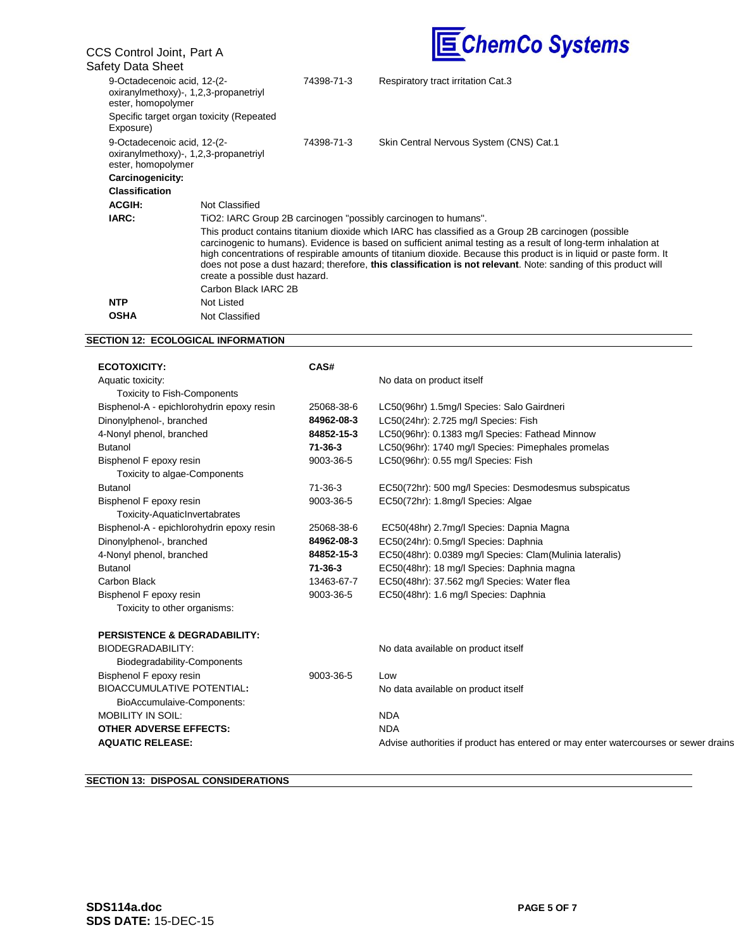| CCS Control Joint, Part A                         |                                          |            | <b>SChemCo Systems</b>                                                                                                                                                                                                                                                                                                                                                                                                                                         |
|---------------------------------------------------|------------------------------------------|------------|----------------------------------------------------------------------------------------------------------------------------------------------------------------------------------------------------------------------------------------------------------------------------------------------------------------------------------------------------------------------------------------------------------------------------------------------------------------|
| Safety Data Sheet                                 |                                          |            |                                                                                                                                                                                                                                                                                                                                                                                                                                                                |
| 9-Octadecenoic acid, 12-(2-<br>ester, homopolymer | oxiranylmethoxy)-, 1,2,3-propanetriyl    | 74398-71-3 | Respiratory tract irritation Cat.3                                                                                                                                                                                                                                                                                                                                                                                                                             |
| Exposure)                                         | Specific target organ toxicity (Repeated |            |                                                                                                                                                                                                                                                                                                                                                                                                                                                                |
| 9-Octadecenoic acid, 12-(2-<br>ester, homopolymer | oxiranylmethoxy)-, 1,2,3-propanetriyl    | 74398-71-3 | Skin Central Nervous System (CNS) Cat.1                                                                                                                                                                                                                                                                                                                                                                                                                        |
| Carcinogenicity:                                  |                                          |            |                                                                                                                                                                                                                                                                                                                                                                                                                                                                |
| <b>Classification</b>                             |                                          |            |                                                                                                                                                                                                                                                                                                                                                                                                                                                                |
| <b>ACGIH:</b>                                     | Not Classified                           |            |                                                                                                                                                                                                                                                                                                                                                                                                                                                                |
| IARC:                                             |                                          |            | TiO2: IARC Group 2B carcinogen "possibly carcinogen to humans".                                                                                                                                                                                                                                                                                                                                                                                                |
|                                                   | create a possible dust hazard.           |            | This product contains titanium dioxide which IARC has classified as a Group 2B carcinogen (possible<br>carcinogenic to humans). Evidence is based on sufficient animal testing as a result of long-term inhalation at<br>high concentrations of respirable amounts of titanium dioxide. Because this product is in liquid or paste form. It<br>does not pose a dust hazard; therefore, this classification is not relevant. Note: sanding of this product will |
|                                                   | Carbon Black IARC 2B                     |            |                                                                                                                                                                                                                                                                                                                                                                                                                                                                |
| <b>NTP</b>                                        | Not Listed                               |            |                                                                                                                                                                                                                                                                                                                                                                                                                                                                |
| <b>OSHA</b>                                       | Not Classified                           |            |                                                                                                                                                                                                                                                                                                                                                                                                                                                                |

# **SECTION 12: ECOLOGICAL INFORMATION**

| <b>ECOTOXICITY:</b>                       | CAS#          |                                                                                     |
|-------------------------------------------|---------------|-------------------------------------------------------------------------------------|
| Aquatic toxicity:                         |               | No data on product itself                                                           |
| <b>Toxicity to Fish-Components</b>        |               |                                                                                     |
| Bisphenol-A - epichlorohydrin epoxy resin | 25068-38-6    | LC50(96hr) 1.5mg/l Species: Salo Gairdneri                                          |
| Dinonylphenol-, branched                  | 84962-08-3    | LC50(24hr): 2.725 mg/l Species: Fish                                                |
| 4-Nonyl phenol, branched                  | 84852-15-3    | LC50(96hr): 0.1383 mg/l Species: Fathead Minnow                                     |
| <b>Butanol</b>                            | $71 - 36 - 3$ | LC50(96hr): 1740 mg/l Species: Pimephales promelas                                  |
| Bisphenol F epoxy resin                   | 9003-36-5     | LC50(96hr): 0.55 mg/l Species: Fish                                                 |
| Toxicity to algae-Components              |               |                                                                                     |
| <b>Butanol</b>                            | 71-36-3       | EC50(72hr): 500 mg/l Species: Desmodesmus subspicatus                               |
| Bisphenol F epoxy resin                   | 9003-36-5     | EC50(72hr): 1.8mg/l Species: Algae                                                  |
| Toxicity-AquaticInvertabrates             |               |                                                                                     |
| Bisphenol-A - epichlorohydrin epoxy resin | 25068-38-6    | EC50(48hr) 2.7mg/l Species: Dapnia Magna                                            |
| Dinonylphenol-, branched                  | 84962-08-3    | EC50(24hr): 0.5mg/l Species: Daphnia                                                |
| 4-Nonyl phenol, branched                  | 84852-15-3    | EC50(48hr): 0.0389 mg/l Species: Clam(Mulinia lateralis)                            |
| <b>Butanol</b>                            | 71-36-3       | EC50(48hr): 18 mg/l Species: Daphnia magna                                          |
| Carbon Black                              | 13463-67-7    | EC50(48hr): 37.562 mg/l Species: Water flea                                         |
| Bisphenol F epoxy resin                   | 9003-36-5     | EC50(48hr): 1.6 mg/l Species: Daphnia                                               |
| Toxicity to other organisms:              |               |                                                                                     |
| <b>PERSISTENCE &amp; DEGRADABILITY:</b>   |               |                                                                                     |
| <b>BIODEGRADABILITY:</b>                  |               | No data available on product itself                                                 |
| Biodegradability-Components               |               |                                                                                     |
| Bisphenol F epoxy resin                   | 9003-36-5     | Low                                                                                 |
| <b>BIOACCUMULATIVE POTENTIAL:</b>         |               | No data available on product itself                                                 |
| BioAccumulaive-Components:                |               |                                                                                     |
| <b>MOBILITY IN SOIL:</b>                  |               | <b>NDA</b>                                                                          |
| <b>OTHER ADVERSE EFFECTS:</b>             |               | <b>NDA</b>                                                                          |
| <b>AQUATIC RELEASE:</b>                   |               | Advise authorities if product has entered or may enter watercourses or sewer drains |

# **SECTION 13: DISPOSAL CONSIDERATIONS**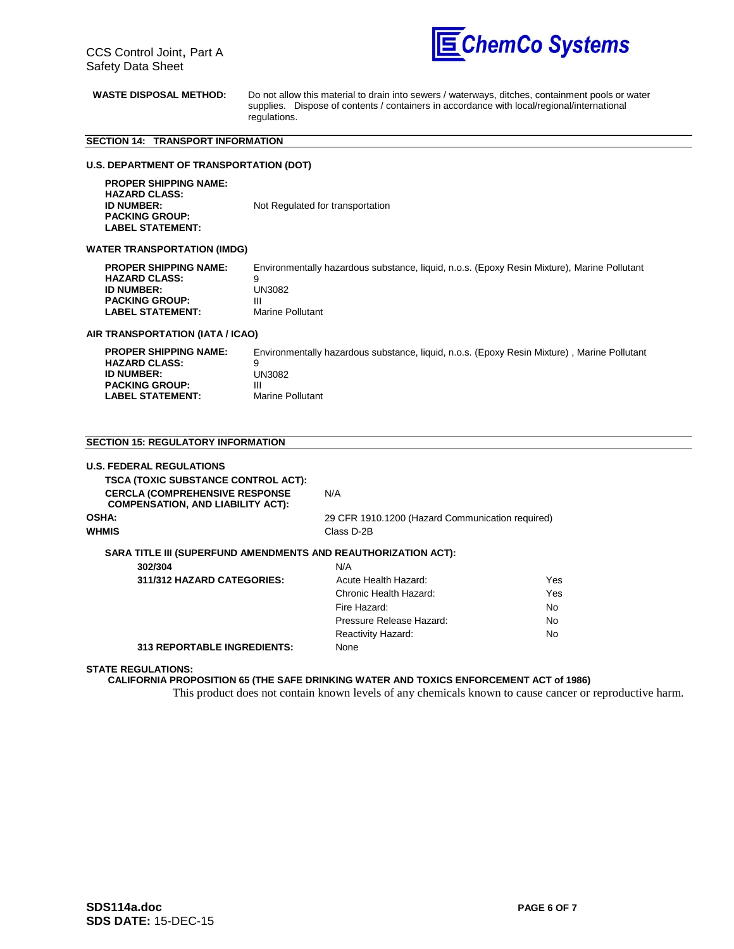

**WASTE DISPOSAL METHOD:** Do not allow this material to drain into sewers / waterways, ditches, containment pools or water supplies. Dispose of contents / containers in accordance with local/regional/international regulations.

## **SECTION 14: TRANSPORT INFORMATION**

#### **U.S. DEPARTMENT OF TRANSPORTATION (DOT)**

 **PROPER SHIPPING NAME: HAZARD CLASS: Not Regulated for transportation PACKING GROUP: LABEL STATEMENT:**

#### **WATER TRANSPORTATION (IMDG)**

| <b>PROPER SHIPPING NAME:</b> | Environmentally hazardous substance, liquid, n.o.s. (Epoxy Resin Mixture), Marine Pollutant |
|------------------------------|---------------------------------------------------------------------------------------------|
| <b>HAZARD CLASS:</b>         | q                                                                                           |
| <b>ID NUMBER:</b>            | UN3082                                                                                      |
| <b>PACKING GROUP:</b>        |                                                                                             |
| LABEL STATEMENT:             | Marine Pollutant                                                                            |

#### **AIR TRANSPORTATION (IATA / ICAO)**

| <b>PROPER SHIPPING NAME:</b> | Environmentally hazardous substance, liquid, n.o.s. (Epoxy Resin Mixture), Marine Pollutant |
|------------------------------|---------------------------------------------------------------------------------------------|
| <b>HAZARD CLASS:</b>         |                                                                                             |
| <b>ID NUMBER:</b>            | UN3082                                                                                      |
| <b>PACKING GROUP:</b>        | Ш                                                                                           |
| LABEL STATEMENT:             | Marine Pollutant                                                                            |

#### **SECTION 15: REGULATORY INFORMATION**

| <b>U.S. FEDERAL REGULATIONS</b>                                                    |                                                  |            |
|------------------------------------------------------------------------------------|--------------------------------------------------|------------|
| <b>TSCA (TOXIC SUBSTANCE CONTROL ACT):</b>                                         |                                                  |            |
| <b>CERCLA (COMPREHENSIVE RESPONSE)</b><br><b>COMPENSATION, AND LIABILITY ACT):</b> | N/A                                              |            |
| OSHA:                                                                              | 29 CFR 1910.1200 (Hazard Communication required) |            |
| WHMIS                                                                              | Class D-2B                                       |            |
| SARA TITLE III (SUPERFUND AMENDMENTS AND REAUTHORIZATION ACT):<br>302/304          | N/A                                              |            |
| 311/312 HAZARD CATEGORIES:                                                         | Acute Health Hazard:                             | <b>Yes</b> |
|                                                                                    | Chronic Health Hazard:                           | Yes        |
|                                                                                    | Fire Hazard:                                     | No.        |
|                                                                                    | Pressure Release Hazard:                         | No.        |
|                                                                                    | Reactivity Hazard:                               | No.        |
| <b>313 REPORTABLE INGREDIENTS:</b>                                                 | None                                             |            |
|                                                                                    |                                                  |            |

#### **STATE REGULATIONS:**

**CALIFORNIA PROPOSITION 65 (THE SAFE DRINKING WATER AND TOXICS ENFORCEMENT ACT of 1986)**

This product does not contain known levels of any chemicals known to cause cancer or reproductive harm.